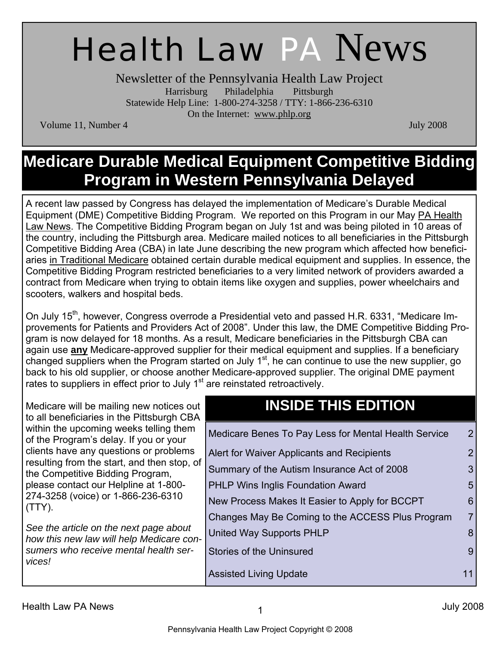# Health Law PA News

Newsletter of the Pennsylvania Health Law Project Harrisburg Philadelphia Pittsburgh Statewide Help Line: 1-800-274-3258 / TTY: 1-866-236-6310 On the Internet: www.phlp.org

Volume 11, Number 4 July 2008

### **Medicare Durable Medical Equipment Competitive Bidding Program in Western Pennsylvania Delayed**

A recent law passed by Congress has delayed the implementation of Medicare's Durable Medical Equipment (DME) Competitive Bidding Program. We reported on this Program in our May PA Health Law News. The Competitive Bidding Program began on July 1st and was being piloted in 10 areas of the country, including the Pittsburgh area. Medicare mailed notices to all beneficiaries in the Pittsburgh Competitive Bidding Area (CBA) in late June describing the new program which affected how beneficiaries in Traditional Medicare obtained certain durable medical equipment and supplies. In essence, the Competitive Bidding Program restricted beneficiaries to a very limited network of providers awarded a contract from Medicare when trying to obtain items like oxygen and supplies, power wheelchairs and scooters, walkers and hospital beds.

On July 15<sup>th</sup>, however, Congress overrode a Presidential veto and passed H.R. 6331, "Medicare Improvements for Patients and Providers Act of 2008". Under this law, the DME Competitive Bidding Program is now delayed for 18 months. As a result, Medicare beneficiaries in the Pittsburgh CBA can again use **any** Medicare-approved supplier for their medical equipment and supplies. If a beneficiary changed suppliers when the Program started on July 1<sup>st</sup>, he can continue to use the new supplier, go back to his old supplier, or choose another Medicare-approved supplier. The original DME payment rates to suppliers in effect prior to July 1<sup>st</sup> are reinstated retroactively.

Medicare will be mailing new notices out to all beneficiaries in the Pittsburgh CBA within the upcoming weeks telling them of the Program's delay. If you or your clients have any questions or problems resulting from the start, and then stop, of the Competitive Bidding Program, please contact our Helpline at 1-800- 274-3258 (voice) or 1-866-236-6310 (TTY).

*See the article on the next page about how this new law will help Medicare consumers who receive mental health services!* 

### **INSIDE THIS EDITION**

|   | Medicare Benes To Pay Less for Mental Health Service | 2.             |
|---|------------------------------------------------------|----------------|
|   | Alert for Waiver Applicants and Recipients           | $\overline{2}$ |
|   | Summary of the Autism Insurance Act of 2008          |                |
|   | <b>PHLP Wins Inglis Foundation Award</b>             | 5              |
|   | New Process Makes It Easier to Apply for BCCPT       | 6              |
| - | Changes May Be Coming to the ACCESS Plus Program     |                |
|   | United Way Supports PHLP                             |                |
|   | <b>Stories of the Uninsured</b>                      |                |
|   | <b>Assisted Living Update</b>                        |                |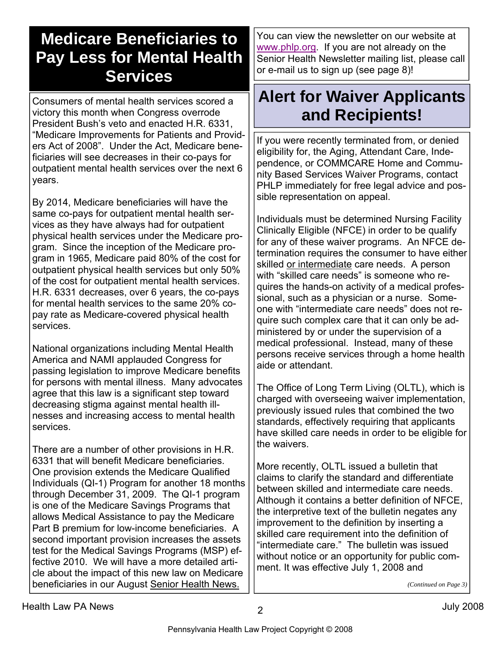### **Medicare Beneficiaries to Pay Less for Mental Health Services**

Consumers of mental health services scored a victory this month when Congress overrode President Bush's veto and enacted H.R. 6331, "Medicare Improvements for Patients and Providers Act of 2008". Under the Act, Medicare beneficiaries will see decreases in their co-pays for outpatient mental health services over the next 6 years.

By 2014, Medicare beneficiaries will have the same co-pays for outpatient mental health services as they have always had for outpatient physical health services under the Medicare program. Since the inception of the Medicare program in 1965, Medicare paid 80% of the cost for outpatient physical health services but only 50% of the cost for outpatient mental health services. H.R. 6331 decreases, over 6 years, the co-pays for mental health services to the same 20% copay rate as Medicare-covered physical health services.

National organizations including Mental Health America and NAMI applauded Congress for passing legislation to improve Medicare benefits for persons with mental illness. Many advocates agree that this law is a significant step toward decreasing stigma against mental health illnesses and increasing access to mental health services.

There are a number of other provisions in H.R. 6331 that will benefit Medicare beneficiaries. One provision extends the Medicare Qualified Individuals (QI-1) Program for another 18 months through December 31, 2009. The QI-1 program is one of the Medicare Savings Programs that allows Medical Assistance to pay the Medicare Part B premium for low-income beneficiaries. A second important provision increases the assets test for the Medical Savings Programs (MSP) effective 2010. We will have a more detailed article about the impact of this new law on Medicare beneficiaries in our August Senior Health News.

You can view the newsletter on our website at www.phlp.org. If you are not already on the Senior Health Newsletter mailing list, please call or e-mail us to sign up (see page 8)!

### **Alert for Waiver Applicants and Recipients!**

If you were recently terminated from, or denied eligibility for, the Aging, Attendant Care, Independence, or COMMCARE Home and Community Based Services Waiver Programs, contact PHLP immediately for free legal advice and possible representation on appeal.

Individuals must be determined Nursing Facility Clinically Eligible (NFCE) in order to be qualify for any of these waiver programs. An NFCE determination requires the consumer to have either skilled or intermediate care needs. A person with "skilled care needs" is someone who requires the hands-on activity of a medical professional, such as a physician or a nurse. Someone with "intermediate care needs" does not require such complex care that it can only be administered by or under the supervision of a medical professional. Instead, many of these persons receive services through a home health aide or attendant.

The Office of Long Term Living (OLTL), which is charged with overseeing waiver implementation, previously issued rules that combined the two standards, effectively requiring that applicants have skilled care needs in order to be eligible for the waivers.

More recently, OLTL issued a bulletin that claims to clarify the standard and differentiate between skilled and intermediate care needs. Although it contains a better definition of NFCE, the interpretive text of the bulletin negates any improvement to the definition by inserting a skilled care requirement into the definition of "intermediate care." The bulletin was issued without notice or an opportunity for public comment. It was effective July 1, 2008 and

*(Continued on Page 3)*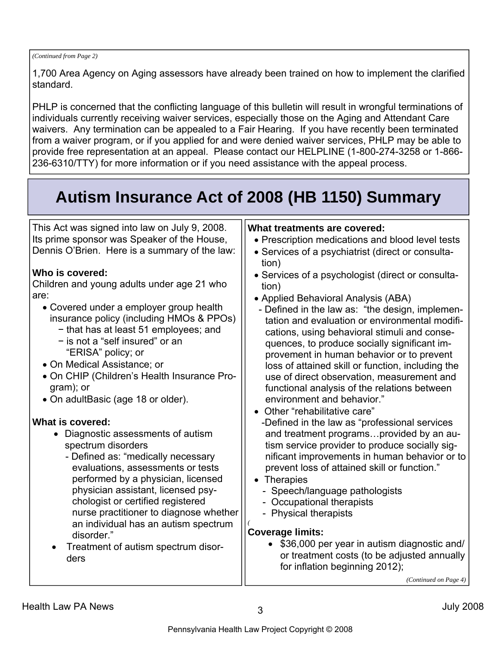#### *(Continued from Page 2)*

1,700 Area Agency on Aging assessors have already been trained on how to implement the clarified standard.

PHLP is concerned that the conflicting language of this bulletin will result in wrongful terminations of individuals currently receiving waiver services, especially those on the Aging and Attendant Care waivers. Any termination can be appealed to a Fair Hearing. If you have recently been terminated from a waiver program, or if you applied for and were denied waiver services, PHLP may be able to provide free representation at an appeal. Please contact our HELPLINE (1-800-274-3258 or 1-866- 236-6310/TTY) for more information or if you need assistance with the appeal process.

## **Autism Insurance Act of 2008 (HB 1150) Summary**

This Act was signed into law on July 9, 2008. Its prime sponsor was Speaker of the House, Dennis O'Brien. Here is a summary of the law:

#### **Who is covered:**

Children and young adults under age 21 who are:

- Covered under a employer group health insurance policy (including HMOs & PPOs)
	- − that has at least 51 employees; and
	- − is not a "self insured" or an "ERISA" policy; or
- On Medical Assistance; or
- On CHIP (Children's Health Insurance Program); or
- On adultBasic (age 18 or older).

#### **What is covered:**

- Diagnostic assessments of autism spectrum disorders
	- Defined as: "medically necessary evaluations, assessments or tests performed by a physician, licensed physician assistant, licensed psychologist or certified registered nurse practitioner to diagnose whether an individual has an autism spectrum disorder."
- Treatment of autism spectrum disorders

#### **What treatments are covered:**

- Prescription medications and blood level tests
- Services of a psychiatrist (direct or consultation)
- Services of a psychologist (direct or consultation)
- Applied Behavioral Analysis (ABA)
- Defined in the law as: "the design, implementation and evaluation or environmental modifications, using behavioral stimuli and consequences, to produce socially significant improvement in human behavior or to prevent loss of attained skill or function, including the use of direct observation, measurement and functional analysis of the relations between environment and behavior."
- Other "rehabilitative care"
- -Defined in the law as "professional services and treatment programs…provided by an autism service provider to produce socially significant improvements in human behavior or to prevent loss of attained skill or function."
- Therapies
	- Speech/language pathologists
	- Occupational therapists
	- Physical therapists

#### **Coverage limits:**

• \$36,000 per year in autism diagnostic and/ or treatment costs (to be adjusted annually for inflation beginning 2012);

*(Continued on Page 4)* 

*(*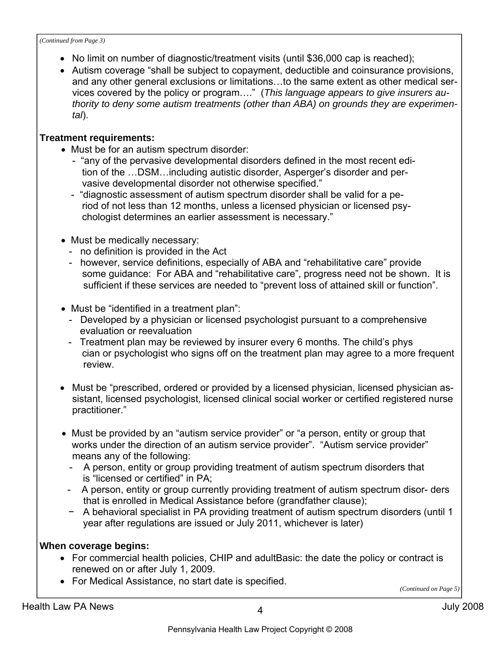*(Continued from Page 3)* 

- No limit on number of diagnostic/treatment visits (until \$36,000 cap is reached);
- Autism coverage "shall be subject to copayment, deductible and coinsurance provisions, and any other general exclusions or limitations…to the same extent as other medical services covered by the policy or program…." (*This language appears to give insurers authority to deny some autism treatments (other than ABA) on grounds they are experimental*).

### **Treatment requirements:**

- Must be for an autism spectrum disorder:
	- "any of the pervasive developmental disorders defined in the most recent edi tion of the …DSM…including autistic disorder, Asperger's disorder and per vasive developmental disorder not otherwise specified."
	- "diagnostic assessment of autism spectrum disorder shall be valid for a pe riod of not less than 12 months, unless a licensed physician or licensed psy chologist determines an earlier assessment is necessary."
- Must be medically necessary:
	- no definition is provided in the Act
	- however, service definitions, especially of ABA and "rehabilitative care" provide some guidance: For ABA and "rehabilitative care", progress need not be shown. It is sufficient if these services are needed to "prevent loss of attained skill or function".
- Must be "identified in a treatment plan":
	- Developed by a physician or licensed psychologist pursuant to a comprehensive evaluation or reevaluation
	- Treatment plan may be reviewed by insurer every 6 months. The child's phys cian or psychologist who signs off on the treatment plan may agree to a more frequent review.
- Must be "prescribed, ordered or provided by a licensed physician, licensed physician assistant, licensed psychologist, licensed clinical social worker or certified registered nurse practitioner."
- Must be provided by an "autism service provider" or "a person, entity or group that works under the direction of an autism service provider". "Autism service provider" means any of the following:
	- A person, entity or group providing treatment of autism spectrum disorders that is "licensed or certified" in PA;
	- A person, entity or group currently providing treatment of autism spectrum disor- ders that is enrolled in Medical Assistance before (grandfather clause);
	- − A behavioral specialist in PA providing treatment of autism spectrum disorders (until 1 year after regulations are issued or July 2011, whichever is later)

### **When coverage begins:**

- For commercial health policies, CHIP and adultBasic: the date the policy or contract is renewed on or after July 1, 2009.
- For Medical Assistance, no start date is specified.

*(Continued on Page 5)*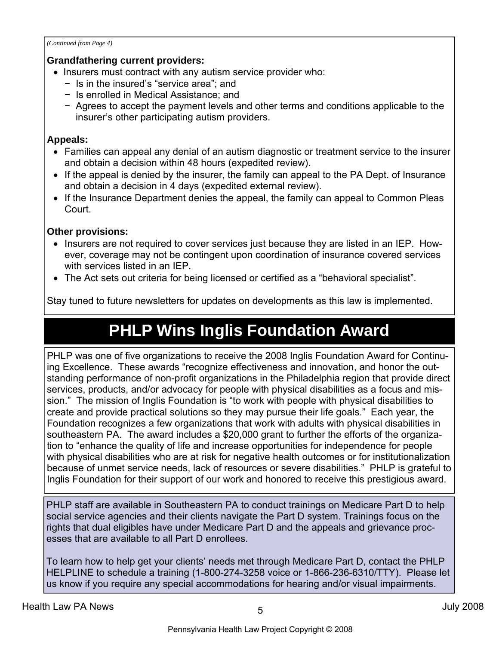*(Continued from Page 4)* 

#### **Grandfathering current providers:**

- Insurers must contract with any autism service provider who:
	- − Is in the insured's "service area"; and
	- − Is enrolled in Medical Assistance; and
	- − Agrees to accept the payment levels and other terms and conditions applicable to the insurer's other participating autism providers.

#### **Appeals:**

- Families can appeal any denial of an autism diagnostic or treatment service to the insurer and obtain a decision within 48 hours (expedited review).
- If the appeal is denied by the insurer, the family can appeal to the PA Dept. of Insurance and obtain a decision in 4 days (expedited external review).
- If the Insurance Department denies the appeal, the family can appeal to Common Pleas Court.

#### **Other provisions:**

- Insurers are not required to cover services just because they are listed in an IEP. However, coverage may not be contingent upon coordination of insurance covered services with services listed in an IEP.
- The Act sets out criteria for being licensed or certified as a "behavioral specialist".

Stay tuned to future newsletters for updates on developments as this law is implemented.

### **PHLP Wins Inglis Foundation Award**

PHLP was one of five organizations to receive the 2008 Inglis Foundation Award for Continuing Excellence. These awards "recognize effectiveness and innovation, and honor the outstanding performance of non-profit organizations in the Philadelphia region that provide direct services, products, and/or advocacy for people with physical disabilities as a focus and mission." The mission of Inglis Foundation is "to work with people with physical disabilities to create and provide practical solutions so they may pursue their life goals." Each year, the Foundation recognizes a few organizations that work with adults with physical disabilities in southeastern PA. The award includes a \$20,000 grant to further the efforts of the organization to "enhance the quality of life and increase opportunities for independence for people with physical disabilities who are at risk for negative health outcomes or for institutionalization because of unmet service needs, lack of resources or severe disabilities." PHLP is grateful to Inglis Foundation for their support of our work and honored to receive this prestigious award.

PHLP staff are available in Southeastern PA to conduct trainings on Medicare Part D to help social service agencies and their clients navigate the Part D system. Trainings focus on the rights that dual eligibles have under Medicare Part D and the appeals and grievance processes that are available to all Part D enrollees.

To learn how to help get your clients' needs met through Medicare Part D, contact the PHLP HELPLINE to schedule a training (1-800-274-3258 voice or 1-866-236-6310/TTY). Please let us know if you require any special accommodations for hearing and/or visual impairments.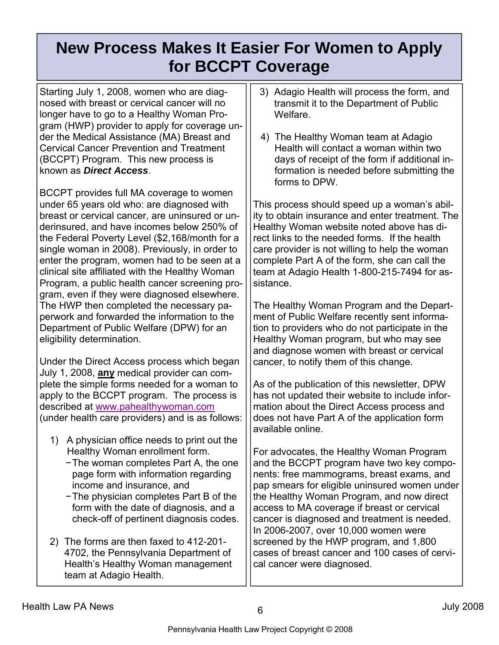### **New Process Makes It Easier For Women to Apply for BCCPT Coverage**

Starting July 1, 2008, women who are diagnosed with breast or cervical cancer will no longer have to go to a Healthy Woman Program (HWP) provider to apply for coverage under the Medical Assistance (MA) Breast and Cervical Cancer Prevention and Treatment (BCCPT) Program. This new process is known as *Direct Access*.

BCCPT provides full MA coverage to women under 65 years old who: are diagnosed with breast or cervical cancer, are uninsured or underinsured, and have incomes below 250% of the Federal Poverty Level (\$2,168/month for a single woman in 2008). Previously, in order to enter the program, women had to be seen at a clinical site affiliated with the Healthy Woman Program, a public health cancer screening program, even if they were diagnosed elsewhere. The HWP then completed the necessary paperwork and forwarded the information to the Department of Public Welfare (DPW) for an eligibility determination.

Under the Direct Access process which began July 1, 2008, **any** medical provider can complete the simple forms needed for a woman to apply to the BCCPT program. The process is described at www.pahealthywoman.com (under health care providers) and is as follows:

- 1) A physician office needs to print out the Healthy Woman enrollment form.
	- − The woman completes Part A, the one page form with information regarding income and insurance, and
	- − The physician completes Part B of the form with the date of diagnosis, and a check-off of pertinent diagnosis codes.
- 2) The forms are then faxed to 412-201- 4702, the Pennsylvania Department of Health's Healthy Woman management team at Adagio Health.
- 3) Adagio Health will process the form, and transmit it to the Department of Public Welfare.
- 4) The Healthy Woman team at Adagio Health will contact a woman within two days of receipt of the form if additional information is needed before submitting the forms to DPW.

This process should speed up a woman's ability to obtain insurance and enter treatment. The Healthy Woman website noted above has direct links to the needed forms. If the health care provider is not willing to help the woman complete Part A of the form, she can call the team at Adagio Health 1-800-215-7494 for assistance.

The Healthy Woman Program and the Department of Public Welfare recently sent information to providers who do not participate in the Healthy Woman program, but who may see and diagnose women with breast or cervical cancer, to notify them of this change.

As of the publication of this newsletter, DPW has not updated their website to include information about the Direct Access process and does not have Part A of the application form available online.

For advocates, the Healthy Woman Program and the BCCPT program have two key components: free mammograms, breast exams, and pap smears for eligible uninsured women under the Healthy Woman Program, and now direct access to MA coverage if breast or cervical cancer is diagnosed and treatment is needed. In 2006-2007, over 10,000 women were screened by the HWP program, and 1,800 cases of breast cancer and 100 cases of cervical cancer were diagnosed.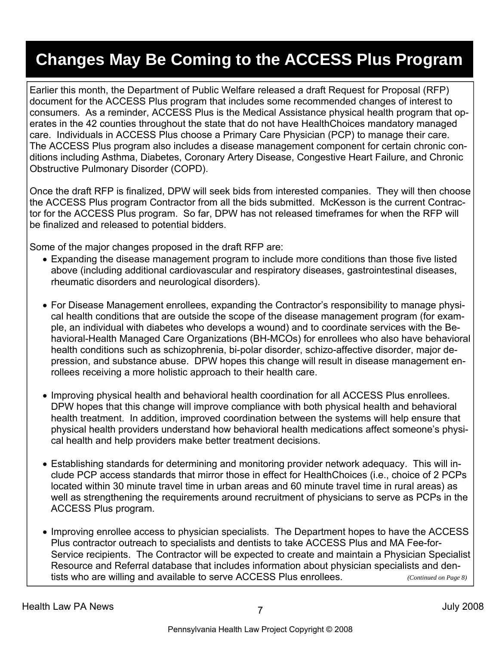### **Changes May Be Coming to the ACCESS Plus Program**

Earlier this month, the Department of Public Welfare released a draft Request for Proposal (RFP) document for the ACCESS Plus program that includes some recommended changes of interest to consumers. As a reminder, ACCESS Plus is the Medical Assistance physical health program that operates in the 42 counties throughout the state that do not have HealthChoices mandatory managed care. Individuals in ACCESS Plus choose a Primary Care Physician (PCP) to manage their care. The ACCESS Plus program also includes a disease management component for certain chronic conditions including Asthma, Diabetes, Coronary Artery Disease, Congestive Heart Failure, and Chronic Obstructive Pulmonary Disorder (COPD).

Once the draft RFP is finalized, DPW will seek bids from interested companies. They will then choose the ACCESS Plus program Contractor from all the bids submitted. McKesson is the current Contractor for the ACCESS Plus program. So far, DPW has not released timeframes for when the RFP will be finalized and released to potential bidders.

Some of the major changes proposed in the draft RFP are:

- Expanding the disease management program to include more conditions than those five listed above (including additional cardiovascular and respiratory diseases, gastrointestinal diseases, rheumatic disorders and neurological disorders).
- For Disease Management enrollees, expanding the Contractor's responsibility to manage physical health conditions that are outside the scope of the disease management program (for example, an individual with diabetes who develops a wound) and to coordinate services with the Behavioral-Health Managed Care Organizations (BH-MCOs) for enrollees who also have behavioral health conditions such as schizophrenia, bi-polar disorder, schizo-affective disorder, major depression, and substance abuse. DPW hopes this change will result in disease management enrollees receiving a more holistic approach to their health care.
- Improving physical health and behavioral health coordination for all ACCESS Plus enrollees. DPW hopes that this change will improve compliance with both physical health and behavioral health treatment. In addition, improved coordination between the systems will help ensure that physical health providers understand how behavioral health medications affect someone's physical health and help providers make better treatment decisions.
- Establishing standards for determining and monitoring provider network adequacy. This will include PCP access standards that mirror those in effect for HealthChoices (i.e., choice of 2 PCPs located within 30 minute travel time in urban areas and 60 minute travel time in rural areas) as well as strengthening the requirements around recruitment of physicians to serve as PCPs in the ACCESS Plus program.
- Improving enrollee access to physician specialists. The Department hopes to have the ACCESS Plus contractor outreach to specialists and dentists to take ACCESS Plus and MA Fee-for-Service recipients. The Contractor will be expected to create and maintain a Physician Specialist Resource and Referral database that includes information about physician specialists and dentists who are willing and available to serve ACCESS Plus enrollees. *(Continued on Page 8)*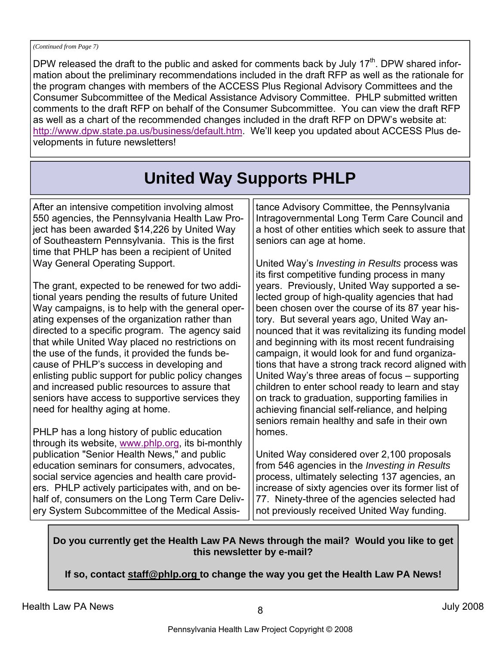DPW released the draft to the public and asked for comments back by July 17<sup>th</sup>. DPW shared information about the preliminary recommendations included in the draft RFP as well as the rationale for the program changes with members of the ACCESS Plus Regional Advisory Committees and the Consumer Subcommittee of the Medical Assistance Advisory Committee. PHLP submitted written comments to the draft RFP on behalf of the Consumer Subcommittee. You can view the draft RFP as well as a chart of the recommended changes included in the draft RFP on DPW's website at: http://www.dpw.state.pa.us/business/default.htm. We'll keep you updated about ACCESS Plus developments in future newsletters!

## **United Way Supports PHLP**

After an intensive competition involving almost 550 agencies, the Pennsylvania Health Law Project has been awarded \$14,226 by United Way of Southeastern Pennsylvania. This is the first time that PHLP has been a recipient of United Way General Operating Support.

The grant, expected to be renewed for two additional years pending the results of future United Way campaigns, is to help with the general operating expenses of the organization rather than directed to a specific program. The agency said that while United Way placed no restrictions on the use of the funds, it provided the funds because of PHLP's success in developing and enlisting public support for public policy changes and increased public resources to assure that seniors have access to supportive services they need for healthy aging at home.

PHLP has a long history of public education through its website, www.phlp.org, its bi-monthly publication "Senior Health News," and public education seminars for consumers, advocates, social service agencies and health care providers. PHLP actively participates with, and on behalf of, consumers on the Long Term Care Delivery System Subcommittee of the Medical Assistance Advisory Committee, the Pennsylvania Intragovernmental Long Term Care Council and a host of other entities which seek to assure that seniors can age at home.

United Way's *Investing in Results* process was its first competitive funding process in many years. Previously, United Way supported a selected group of high-quality agencies that had been chosen over the course of its 87 year history. But several years ago, United Way announced that it was revitalizing its funding model and beginning with its most recent fundraising campaign, it would look for and fund organizations that have a strong track record aligned with United Way's three areas of focus – supporting children to enter school ready to learn and stay on track to graduation, supporting families in achieving financial self-reliance, and helping seniors remain healthy and safe in their own homes.

United Way considered over 2,100 proposals from 546 agencies in the *Investing in Results* process, ultimately selecting 137 agencies, an increase of sixty agencies over its former list of 77. Ninety-three of the agencies selected had not previously received United Way funding.

#### **Do you currently get the Health Law PA News through the mail? Would you like to get this newsletter by e-mail?**

**If so, contact staff@phlp.org to change the way you get the Health Law PA News!**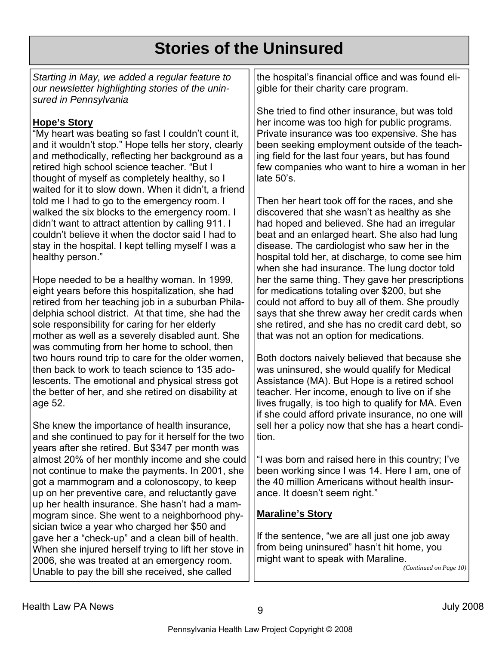### **Stories of the Uninsured**

*Starting in May, we added a regular feature to our newsletter highlighting stories of the uninsured in Pennsylvania* 

#### **Hope's Story**

"My heart was beating so fast I couldn't count it, and it wouldn't stop." Hope tells her story, clearly and methodically, reflecting her background as a retired high school science teacher. "But I thought of myself as completely healthy, so I waited for it to slow down. When it didn't, a friend told me I had to go to the emergency room. I walked the six blocks to the emergency room. I didn't want to attract attention by calling 911. I couldn't believe it when the doctor said I had to stay in the hospital. I kept telling myself I was a healthy person."

Hope needed to be a healthy woman. In 1999, eight years before this hospitalization, she had retired from her teaching job in a suburban Philadelphia school district. At that time, she had the sole responsibility for caring for her elderly mother as well as a severely disabled aunt. She was commuting from her home to school, then two hours round trip to care for the older women, then back to work to teach science to 135 adolescents. The emotional and physical stress got the better of her, and she retired on disability at age 52.

She knew the importance of health insurance, and she continued to pay for it herself for the two years after she retired. But \$347 per month was almost 20% of her monthly income and she could not continue to make the payments. In 2001, she got a mammogram and a colonoscopy, to keep up on her preventive care, and reluctantly gave up her health insurance. She hasn't had a mammogram since. She went to a neighborhood physician twice a year who charged her \$50 and gave her a "check-up" and a clean bill of health. When she injured herself trying to lift her stove in 2006, she was treated at an emergency room. Unable to pay the bill she received, she called

the hospital's financial office and was found eligible for their charity care program.

She tried to find other insurance, but was told her income was too high for public programs. Private insurance was too expensive. She has been seeking employment outside of the teaching field for the last four years, but has found few companies who want to hire a woman in her late 50's.

Then her heart took off for the races, and she discovered that she wasn't as healthy as she had hoped and believed. She had an irregular beat and an enlarged heart. She also had lung disease. The cardiologist who saw her in the hospital told her, at discharge, to come see him when she had insurance. The lung doctor told her the same thing. They gave her prescriptions for medications totaling over \$200, but she could not afford to buy all of them. She proudly says that she threw away her credit cards when she retired, and she has no credit card debt, so that was not an option for medications.

Both doctors naively believed that because she was uninsured, she would qualify for Medical Assistance (MA). But Hope is a retired school teacher. Her income, enough to live on if she lives frugally, is too high to qualify for MA. Even if she could afford private insurance, no one will sell her a policy now that she has a heart condition.

"I was born and raised here in this country; I've been working since I was 14. Here I am, one of the 40 million Americans without health insurance. It doesn't seem right."

#### **Maraline's Story**

If the sentence, "we are all just one job away from being uninsured" hasn't hit home, you might want to speak with Maraline.

*(Continued on Page 10)*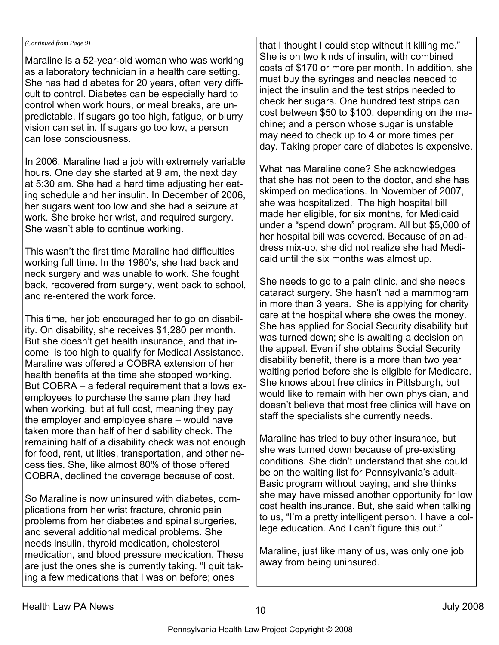#### *(Continued from Page 9)*

Maraline is a 52-year-old woman who was working as a laboratory technician in a health care setting. She has had diabetes for 20 years, often very difficult to control. Diabetes can be especially hard to control when work hours, or meal breaks, are unpredictable. If sugars go too high, fatigue, or blurry vision can set in. If sugars go too low, a person can lose consciousness.

In 2006, Maraline had a job with extremely variable hours. One day she started at 9 am, the next day at 5:30 am. She had a hard time adjusting her eating schedule and her insulin. In December of 2006, her sugars went too low and she had a seizure at work. She broke her wrist, and required surgery. She wasn't able to continue working.

This wasn't the first time Maraline had difficulties working full time. In the 1980's, she had back and neck surgery and was unable to work. She fought back, recovered from surgery, went back to school, and re-entered the work force.

This time, her job encouraged her to go on disability. On disability, she receives \$1,280 per month. But she doesn't get health insurance, and that income is too high to qualify for Medical Assistance. Maraline was offered a COBRA extension of her health benefits at the time she stopped working. But COBRA – a federal requirement that allows exemployees to purchase the same plan they had when working, but at full cost, meaning they pay the employer and employee share – would have taken more than half of her disability check. The remaining half of a disability check was not enough for food, rent, utilities, transportation, and other necessities. She, like almost 80% of those offered COBRA, declined the coverage because of cost.

So Maraline is now uninsured with diabetes, complications from her wrist fracture, chronic pain problems from her diabetes and spinal surgeries, and several additional medical problems. She needs insulin, thyroid medication, cholesterol medication, and blood pressure medication. These are just the ones she is currently taking. "I quit taking a few medications that I was on before; ones

that I thought I could stop without it killing me." She is on two kinds of insulin, with combined costs of \$170 or more per month. In addition, she must buy the syringes and needles needed to inject the insulin and the test strips needed to check her sugars. One hundred test strips can cost between \$50 to \$100, depending on the machine; and a person whose sugar is unstable may need to check up to 4 or more times per day. Taking proper care of diabetes is expensive.

What has Maraline done? She acknowledges that she has not been to the doctor, and she has skimped on medications. In November of 2007, she was hospitalized. The high hospital bill made her eligible, for six months, for Medicaid under a "spend down" program. All but \$5,000 of her hospital bill was covered. Because of an address mix-up, she did not realize she had Medicaid until the six months was almost up.

She needs to go to a pain clinic, and she needs cataract surgery. She hasn't had a mammogram in more than 3 years. She is applying for charity care at the hospital where she owes the money. She has applied for Social Security disability but was turned down; she is awaiting a decision on the appeal. Even if she obtains Social Security disability benefit, there is a more than two year waiting period before she is eligible for Medicare. She knows about free clinics in Pittsburgh, but would like to remain with her own physician, and doesn't believe that most free clinics will have on staff the specialists she currently needs.

Maraline has tried to buy other insurance, but she was turned down because of pre-existing conditions. She didn't understand that she could be on the waiting list for Pennsylvania's adult-Basic program without paying, and she thinks she may have missed another opportunity for low cost health insurance. But, she said when talking to us, "I'm a pretty intelligent person. I have a college education. And I can't figure this out."

Maraline, just like many of us, was only one job away from being uninsured.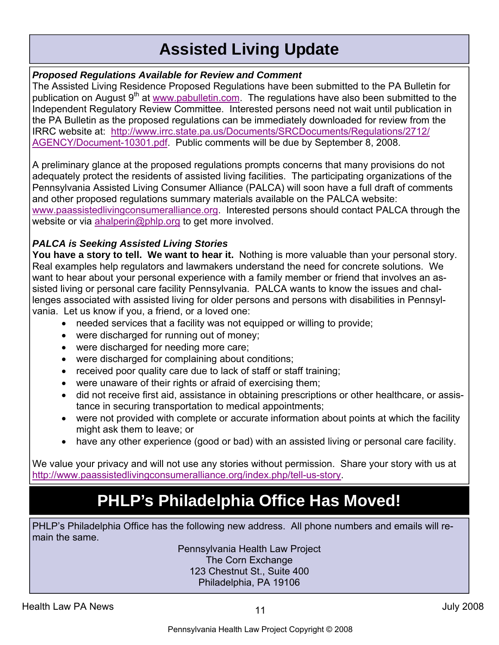### **Assisted Living Update**

#### *Proposed Regulations Available for Review and Comment*

The Assisted Living Residence Proposed Regulations have been submitted to the PA Bulletin for publication on August  $9<sup>th</sup>$  at www.pabulletin.com. The regulations have also been submitted to the Independent Regulatory Review Committee. Interested persons need not wait until publication in the PA Bulletin as the proposed regulations can be immediately downloaded for review from the IRRC website at: http://www.irrc.state.pa.us/Documents/SRCDocuments/Regulations/2712/ AGENCY/Document-10301.pdf. Public comments will be due by September 8, 2008.

A preliminary glance at the proposed regulations prompts concerns that many provisions do not adequately protect the residents of assisted living facilities. The participating organizations of the Pennsylvania Assisted Living Consumer Alliance (PALCA) will soon have a full draft of comments and other proposed regulations summary materials available on the PALCA website: www.paassistedlivingconsumeralliance.org. Interested persons should contact PALCA through the website or via ahalperin@phlp.org to get more involved.

### *PALCA is Seeking Assisted Living Stories*

**You have a story to tell. We want to hear it.** Nothing is more valuable than your personal story. Real examples help regulators and lawmakers understand the need for concrete solutions. We want to hear about your personal experience with a family member or friend that involves an assisted living or personal care facility Pennsylvania. PALCA wants to know the issues and challenges associated with assisted living for older persons and persons with disabilities in Pennsylvania. Let us know if you, a friend, or a loved one:

- needed services that a facility was not equipped or willing to provide;
- were discharged for running out of money;
- were discharged for needing more care;
- were discharged for complaining about conditions;
- received poor quality care due to lack of staff or staff training;
- were unaware of their rights or afraid of exercising them;
- did not receive first aid, assistance in obtaining prescriptions or other healthcare, or assistance in securing transportation to medical appointments;
- were not provided with complete or accurate information about points at which the facility might ask them to leave; or
- have any other experience (good or bad) with an assisted living or personal care facility.

We value your privacy and will not use any stories without permission. Share your story with us at http://www.paassistedlivingconsumeralliance.org/index.php/tell-us-story.

# **PHLP's Philadelphia Office Has Moved!**

PHLP's Philadelphia Office has the following new address. All phone numbers and emails will remain the same.

Pennsylvania Health Law Project The Corn Exchange 123 Chestnut St., Suite 400 Philadelphia, PA 19106